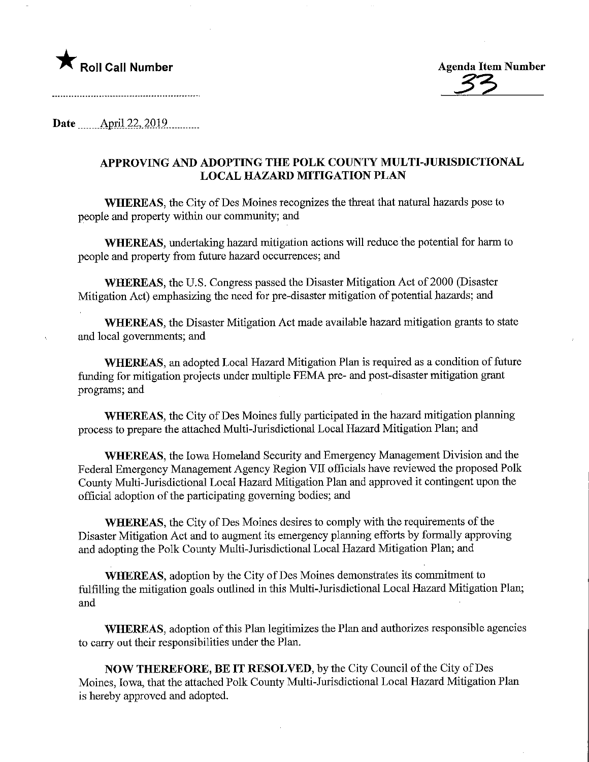



Date April 22, 2019

## APPROVING AND ADOPTING THE POLK COUNTY MULTI-JURISDICTIONAL LOCAL HAZARD MITIGATION PLAN

WHEREAS, the City of Des Moines recognizes the threat that natural hazards pose to people and property within our community; and

WHEREAS, undertaking hazard mitigation actions will reduce the potential for harm to people and property from future hazard occurrences; and

WHEREAS, the U.S. Congress passed the Disaster Mitigation Act of 2000 (Disaster Mitigation Act) emphasizing the need for pre-disaster mitigation of potential hazards; and

WHEREAS, the Disaster Mitigation Act made available hazard mitigation grants to state and local governments; and

WHEREAS, an adopted Local Hazard Mitigation Plan is required as a condition of future funding for mitigation projects under multiple FEMA pre- and post-disaster mitigation grant programs; and

WHEREAS, the City of Des Moines fully participated in the hazard mitigation planning process to prepare the attached Multi-Jurisdictional Local Hazard Mitigation Plan; and

WHEREAS, the Iowa Homeland Security and Emergency Management Division and the Federal Emergency Management Agency Region VII officials have reviewed the proposed Polk County Multi-Jurisdictional Local Hazard Mitigation Plan and approved it contingent upon the official adoption of the participating governing bodies; and

WHEREAS, the City of Des Moines desires to comply with the requirements of the Disaster Mitigation Act and to augment its emergency planning efforts by formally approving and adopting the Polk County Multi-Jurisdictional Local Hazard Mitigation Plan; and

WHEREAS, adoption by the City of Des Moines demonstrates its commitment to fulfilling the mitigation goals outlined in this Multi-Jurisdictional Local Hazard Mitigation Plan; and

WHEREAS, adoption of this Plan legitimizes the Plan and authorizes responsible agencies to carry out their responsibilities under the Plan.

NOW THEREFORE, BE IT RESOLVED, by the City Council of the City of Des Moines, Iowa, that the attached Polk County Multi-Jurisdictional Local Hazard Mitigation Plan is hereby approved and adopted.